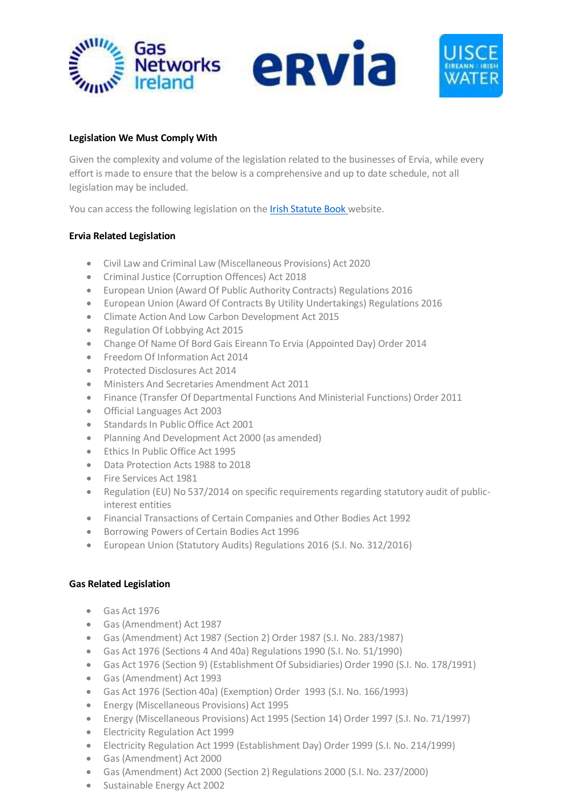



## **Legislation We Must Comply With**

Given the complexity and volume of the legislation related to the businesses of Ervia, while every effort is made to ensure that the below is a comprehensive and up to date schedule, not all legislation may be included.

You can access the following legislation on the Irish [Statute Book](http://www.irishstatutebook.ie/) website.

## **Ervia Related Legislation**

- Civil Law and Criminal Law (Miscellaneous Provisions) Act 2020
- Criminal Justice (Corruption Offences) Act 2018
- European Union (Award Of Public Authority Contracts) Regulations 2016
- European Union (Award Of Contracts By Utility Undertakings) Regulations 2016
- Climate Action And Low Carbon Development Act 2015
- Regulation Of Lobbying Act 2015
- Change Of Name Of Bord Gais Eireann To Ervia (Appointed Day) Order 2014
- Freedom Of Information Act 2014
- Protected Disclosures Act 2014
- Ministers And Secretaries Amendment Act 2011
- Finance (Transfer Of Departmental Functions And Ministerial Functions) Order 2011
- Official Languages Act 2003
- Standards In Public Office Act 2001
- Planning And Development Act 2000 (as amended)
- Ethics In Public Office Act 1995
- Data Protection Acts 1988 to 2018
- Fire Services Act 1981
- Regulation (EU) No 537/2014 on specific requirements regarding statutory audit of publicinterest entities
- Financial Transactions of Certain Companies and Other Bodies Act 1992
- Borrowing Powers of Certain Bodies Act 1996
- European Union (Statutory Audits) Regulations 2016 (S.I. No. 312/2016)

## **Gas Related Legislation**

- Gas Act 1976
- Gas (Amendment) Act 1987
- Gas (Amendment) Act 1987 (Section 2) Order 1987 (S.I. No. 283/1987)
- Gas Act 1976 (Sections 4 And 40a) Regulations 1990 (S.I. No. 51/1990)
- Gas Act 1976 (Section 9) (Establishment Of Subsidiaries) Order 1990 (S.I. No. 178/1991)
- Gas (Amendment) Act 1993
- Gas Act 1976 (Section 40a) (Exemption) Order 1993 (S.I. No. 166/1993)
- Energy (Miscellaneous Provisions) Act 1995
- Energy (Miscellaneous Provisions) Act 1995 (Section 14) Order 1997 (S.I. No. 71/1997)
- Electricity Regulation Act 1999
- Electricity Regulation Act 1999 (Establishment Day) Order 1999 (S.I. No. 214/1999)
- Gas (Amendment) Act 2000
- Gas (Amendment) Act 2000 (Section 2) Regulations 2000 (S.I. No. 237/2000)
- Sustainable Energy Act 2002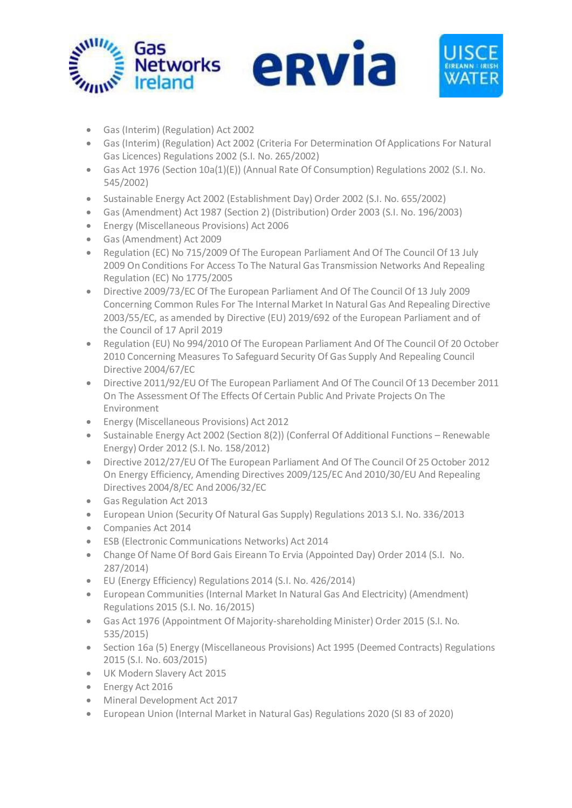

- Gas (Interim) (Regulation) Act 2002
- Gas (Interim) (Regulation) Act 2002 (Criteria For Determination Of Applications For Natural Gas Licences) Regulations 2002 (S.I. No. 265/2002)
- Gas Act 1976 (Section 10a(1)(E)) (Annual Rate Of Consumption) Regulations 2002 (S.I. No. 545/2002)
- Sustainable Energy Act 2002 (Establishment Day) Order 2002 (S.I. No. 655/2002)
- Gas (Amendment) Act 1987 (Section 2) (Distribution) Order 2003 (S.I. No. 196/2003)
- Energy (Miscellaneous Provisions) Act 2006
- Gas (Amendment) Act 2009
- Regulation (EC) No 715/2009 Of The European Parliament And Of The Council Of 13 July 2009 On Conditions For Access To The Natural Gas Transmission Networks And Repealing Regulation (EC) No 1775/2005
- Directive 2009/73/EC Of The European Parliament And Of The Council Of 13 July 2009 Concerning Common Rules For The Internal Market In Natural Gas And Repealing Directive 2003/55/EC, as amended by Directive (EU) 2019/692 of the European Parliament and of the Council of 17 April 2019
- Regulation (EU) No 994/2010 Of The European Parliament And Of The Council Of 20 October 2010 Concerning Measures To Safeguard Security Of Gas Supply And Repealing Council Directive 2004/67/EC
- Directive 2011/92/EU Of The European Parliament And Of The Council Of 13 December 2011 On The Assessment Of The Effects Of Certain Public And Private Projects On The Environment
- Energy (Miscellaneous Provisions) Act 2012
- Sustainable Energy Act 2002 (Section 8(2)) (Conferral Of Additional Functions Renewable Energy) Order 2012 (S.I. No. 158/2012)
- Directive 2012/27/EU Of The European Parliament And Of The Council Of 25 October 2012 On Energy Efficiency, Amending Directives 2009/125/EC And 2010/30/EU And Repealing Directives 2004/8/EC And 2006/32/EC
- Gas Regulation Act 2013
- European Union (Security Of Natural Gas Supply) Regulations 2013 S.I. No. 336/2013
- Companies Act 2014
- ESB (Electronic Communications Networks) Act 2014
- Change Of Name Of Bord Gais Eireann To Ervia (Appointed Day) Order 2014 (S.I. No. 287/2014)
- EU (Energy Efficiency) Regulations 2014 (S.I. No. 426/2014)
- European Communities (Internal Market In Natural Gas And Electricity) (Amendment) Regulations 2015 (S.I. No. 16/2015)
- Gas Act 1976 (Appointment Of Majority-shareholding Minister) Order 2015 (S.I. No. 535/2015)
- Section 16a (5) Energy (Miscellaneous Provisions) Act 1995 (Deemed Contracts) Regulations 2015 (S.I. No. 603/2015)
- UK Modern Slavery Act 2015
- Energy Act 2016
- Mineral Development Act 2017
- European Union (Internal Market in Natural Gas) Regulations 2020 (SI 83 of 2020)